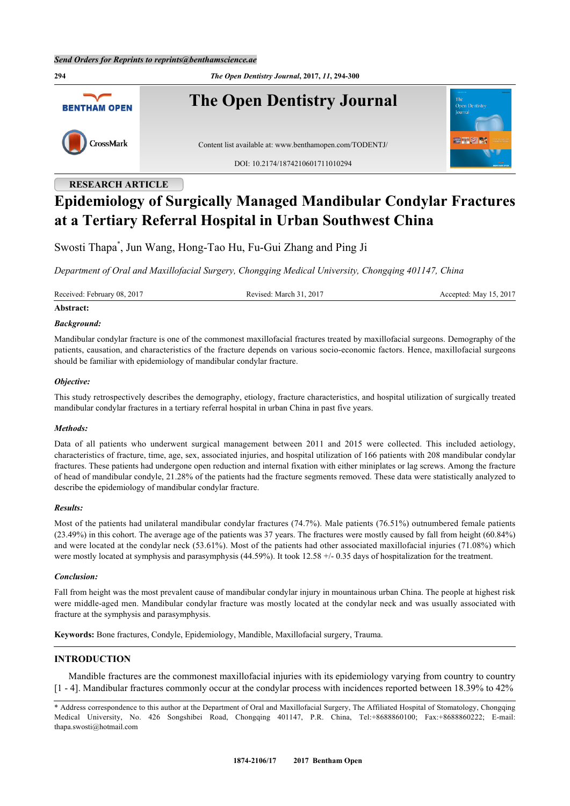**294** *The Open Dentistry Journal***, 2017,** *11***, 294-300 The Open Dentistry Journal BENTHAM OPEN** CrossMark Content list available at: [www.benthamopen.com/TODENTJ/](http://www.benthamopen.com/TODENTJ/) DOI: [10.2174/1874210601711010294](http://dx.doi.org/10.2174/1874210601711010294)

# **RESEARCH ARTICLE Epidemiology of Surgically Managed Mandibular Condylar Fractures at a Tertiary Referral Hospital in Urban Southwest China**

Swosti Thapa\* , Jun Wang, Hong-Tao Hu, Fu-Gui Zhang and Ping Ji

*Department of Oral and Maxillofacial Surgery, Chongqing Medical University, Chongqing 401147, China*

Received: February 08, 2017 Revised: March 31, 2017 Revised: March 31, 2017 Accepted: May 15, 2017

# **Abstract:**

#### *Background:*

Mandibular condylar fracture is one of the commonest maxillofacial fractures treated by maxillofacial surgeons. Demography of the patients, causation, and characteristics of the fracture depends on various socio-economic factors. Hence, maxillofacial surgeons should be familiar with epidemiology of mandibular condylar fracture.

#### *Objective:*

This study retrospectively describes the demography, etiology, fracture characteristics, and hospital utilization of surgically treated mandibular condylar fractures in a tertiary referral hospital in urban China in past five years.

#### *Methods:*

Data of all patients who underwent surgical management between 2011 and 2015 were collected. This included aetiology, characteristics of fracture, time, age, sex, associated injuries, and hospital utilization of 166 patients with 208 mandibular condylar fractures. These patients had undergone open reduction and internal fixation with either miniplates or lag screws. Among the fracture of head of mandibular condyle, 21.28% of the patients had the fracture segments removed. These data were statistically analyzed to describe the epidemiology of mandibular condylar fracture.

## *Results:*

Most of the patients had unilateral mandibular condylar fractures (74.7%). Male patients (76.51%) outnumbered female patients (23.49%) in this cohort. The average age of the patients was 37 years. The fractures were mostly caused by fall from height (60.84%) and were located at the condylar neck (53.61%). Most of the patients had other associated maxillofacial injuries (71.08%) which were mostly located at symphysis and parasymphysis (44.59%). It took 12.58 +/- 0.35 days of hospitalization for the treatment.

## *Conclusion:*

Fall from height was the most prevalent cause of mandibular condylar injury in mountainous urban China. The people at highest risk were middle-aged men. Mandibular condylar fracture was mostly located at the condylar neck and was usually associated with fracture at the symphysis and parasymphysis.

**Keywords:** Bone fractures, Condyle, Epidemiology, Mandible, Maxillofacial surgery, Trauma.

# **INTRODUCTION**

Mandible fractures are the commonest maxillofacial injuries with its epidemiology varying from country to country [\[1](#page-5-0) - [4](#page-5-1)]. Mandibular fractures commonly occur at the condylar process with incidences reported between 18.39% to 42%

<sup>\*</sup> Address correspondence to this author at the Department of Oral and Maxillofacial Surgery, The Affiliated Hospital of Stomatology, Chongqing Medical University, No. 426 Songshibei Road, Chongqing 401147, P.R. China, Tel:+8688860100; Fax:+8688860222; E-mail: [thapa.swosti@hotmail.com](mailto:thapa.swosti@hotmail.com)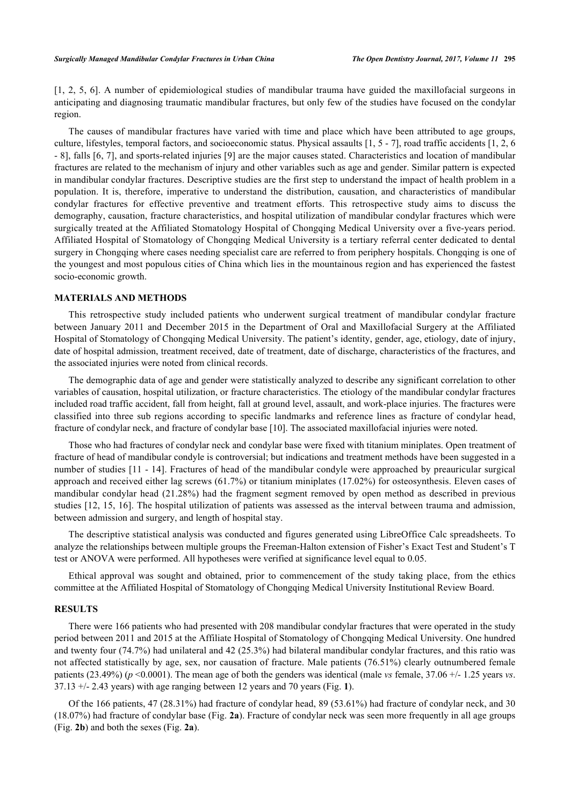[\[1](#page-5-0), [2,](#page-5-2) [5,](#page-5-3) [6](#page-5-4)]. A number of epidemiological studies of mandibular trauma have guided the maxillofacial surgeons in anticipating and diagnosing traumatic mandibular fractures, but only few of the studies have focused on the condylar region.

The causes of mandibular fractures have varied with time and place which have been attributed to age groups, culture, lifestyles, temporal factors, and socioeconomic status. Physical assaults [[1,](#page-5-0) [5](#page-5-3) - [7\]](#page-6-0), road traffic accidents [\[1](#page-5-0), [2](#page-5-2), [6](#page-5-4) - [8\]](#page-6-1), falls [[6,](#page-5-4) [7](#page-6-0)], and sports-related injuries [[9\]](#page-6-2) are the major causes stated. Characteristics and location of mandibular fractures are related to the mechanism of injury and other variables such as age and gender. Similar pattern is expected in mandibular condylar fractures. Descriptive studies are the first step to understand the impact of health problem in a population. It is, therefore, imperative to understand the distribution, causation, and characteristics of mandibular condylar fractures for effective preventive and treatment efforts. This retrospective study aims to discuss the demography, causation, fracture characteristics, and hospital utilization of mandibular condylar fractures which were surgically treated at the Affiliated Stomatology Hospital of Chongqing Medical University over a five-years period. Affiliated Hospital of Stomatology of Chongqing Medical University is a tertiary referral center dedicated to dental surgery in Chongqing where cases needing specialist care are referred to from periphery hospitals. Chongqing is one of the youngest and most populous cities of China which lies in the mountainous region and has experienced the fastest socio-economic growth.

## **MATERIALS AND METHODS**

This retrospective study included patients who underwent surgical treatment of mandibular condylar fracture between January 2011 and December 2015 in the Department of Oral and Maxillofacial Surgery at the Affiliated Hospital of Stomatology of Chongqing Medical University. The patient's identity, gender, age, etiology, date of injury, date of hospital admission, treatment received, date of treatment, date of discharge, characteristics of the fractures, and the associated injuries were noted from clinical records.

The demographic data of age and gender were statistically analyzed to describe any significant correlation to other variables of causation, hospital utilization, or fracture characteristics. The etiology of the mandibular condylar fractures included road traffic accident, fall from height, fall at ground level, assault, and work-place injuries. The fractures were classified into three sub regions according to specific landmarks and reference lines as fracture of condylar head, fracture of condylar neck, and fracture of condylar base [[10\]](#page-6-3). The associated maxillofacial injuries were noted.

Those who had fractures of condylar neck and condylar base were fixed with titanium miniplates. Open treatment of fracture of head of mandibular condyle is controversial; but indications and treatment methods have been suggested in a number of studies [[11](#page-6-4) - [14](#page-6-5)]. Fractures of head of the mandibular condyle were approached by preauricular surgical approach and received either lag screws (61.7%) or titanium miniplates (17.02%) for osteosynthesis. Eleven cases of mandibular condylar head (21.28%) had the fragment segment removed by open method as described in previous studies [[12,](#page-6-6) [15,](#page-6-7) [16\]](#page-6-8). The hospital utilization of patients was assessed as the interval between trauma and admission, between admission and surgery, and length of hospital stay.

The descriptive statistical analysis was conducted and figures generated using LibreOffice Calc spreadsheets. To analyze the relationships between multiple groups the Freeman-Halton extension of Fisher's Exact Test and Student's T test or ANOVA were performed. All hypotheses were verified at significance level equal to 0.05.

Ethical approval was sought and obtained, prior to commencement of the study taking place, from the ethics committee at the Affiliated Hospital of Stomatology of Chongqing Medical University Institutional Review Board.

#### **RESULTS**

There were 166 patients who had presented with 208 mandibular condylar fractures that were operated in the study period between 2011 and 2015 at the Affiliate Hospital of Stomatology of Chongqing Medical University. One hundred and twenty four (74.7%) had unilateral and 42 (25.3%) had bilateral mandibular condylar fractures, and this ratio was not affected statistically by age, sex, nor causation of fracture. Male patients (76.51%) clearly outnumbered female patients  $(23.49%)$  ( $p < 0.0001$ ). The mean age of both the genders was identical (male *vs* female, 37.06 +/- 1.25 years *vs*. 37.13 +/- 2.43 years) with age ranging between 12 years and 70 years (Fig. **[1](#page-1-0)**).

<span id="page-1-0"></span>Of the 166 patients, 47 (28.31%) had fracture of condylar head, 89 (53.61%) had fracture of condylar neck, and 30 (18.07%) had fracture of condylar base (Fig. **[2a](#page-2-0)**). Fracture of condylar neck was seen more frequently in all age groups (Fig. **[2b](#page-2-0)**) and both the sexes (Fig. **[2a](#page-2-0)**).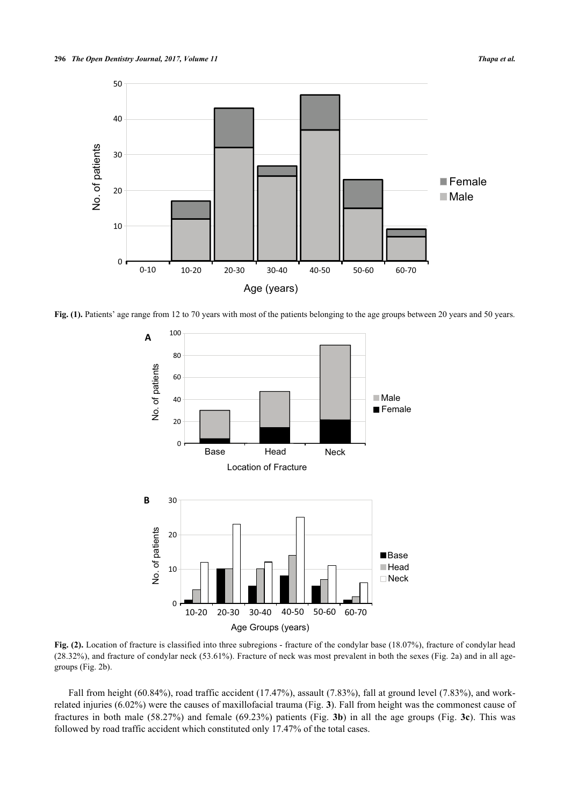

<span id="page-2-0"></span>**Fig. (1).** Patients' age range from 12 to 70 years with most of the patients belonging to the age groups between 20 years and 50 years.



**Fig. (2).** Location of fracture is classified into three subregions - fracture of the condylar base (18.07%), fracture of condylar head (28.32%), and fracture of condylar neck (53.61%). Fracture of neck was most prevalent in both the sexes (Fig. 2a) and in all agegroups (Fig. 2b).

<span id="page-2-1"></span>Fall from height (60.84%), road traffic accident (17.47%), assault (7.83%), fall at ground level (7.83%), and workrelated injuries (6.02%) were the causes of maxillofacial trauma (Fig. **[3](#page-2-1)**). Fall from height was the commonest cause of fractures in both male (58.27%) and female (69.23%) patients (Fig. **[3b](#page-2-1)**) in all the age groups (Fig. **[3c](#page-2-1)**). This was followed by road traffic accident which constituted only 17.47% of the total cases.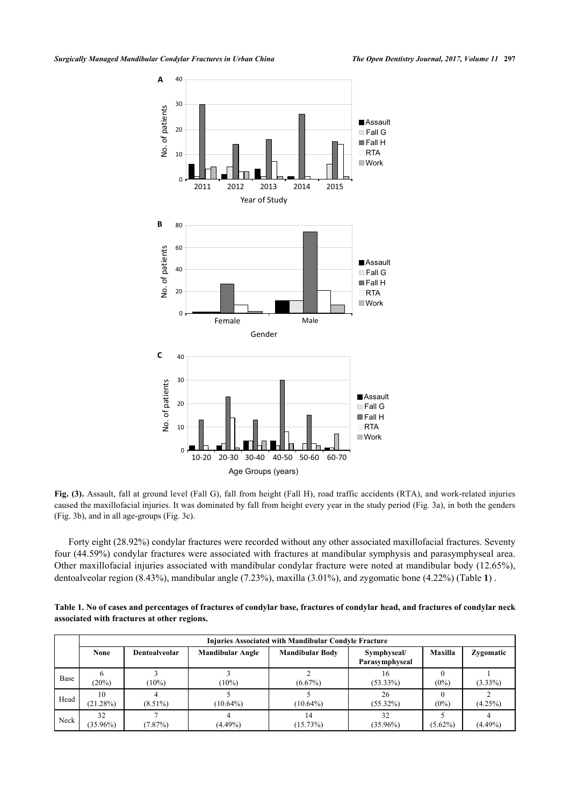

**Fig. (3).** Assault, fall at ground level (Fall G), fall from height (Fall H), road traffic accidents (RTA), and work-related injuries caused the maxillofacial injuries. It was dominated by fall from height every year in the study period (Fig. 3a), in both the genders (Fig. 3b), and in all age-groups (Fig. 3c).

Forty eight (28.92%) condylar fractures were recorded without any other associated maxillofacial fractures. Seventy four (44.59%) condylar fractures were associated with fractures at mandibular symphysis and parasymphyseal area. Other maxillofacial injuries associated with mandibular condylar fracture were noted at mandibular body (12.65%), dentoalveolar region (8.43%), mandibular angle (7.23%), maxilla (3.01%), and zygomatic bone (4.22%) (Table **[1](#page-3-0)**) .

<span id="page-3-0"></span>**Table 1. No of cases and percentages of fractures of condylar base, fractures of condylar head, and fractures of condylar neck associated with fractures at other regions.**

|      | <b>Injuries Associated with Mandibular Condyle Fracture</b> |                      |                         |                        |                               |                |            |
|------|-------------------------------------------------------------|----------------------|-------------------------|------------------------|-------------------------------|----------------|------------|
|      | None                                                        | <b>Dentoalveolar</b> | <b>Mandibular Angle</b> | <b>Mandibular Body</b> | Symphyseal/<br>Parasymphyseal | <b>Maxilla</b> | Zygomatic  |
| Base | (20%)                                                       | $10\%)$              | $(10\%)$                | $(6.67\%)$             | 16<br>$(53.33\%)$             | $(0\%)$        | $(3.33\%)$ |
| Head | 10<br>(21.28%)                                              | $(8.51\%)$           | $(10.64\%)$             | $(10.64\%)$            | 26<br>$(55.32\%)$             | $(0\%)$        | $(4.25\%)$ |
| Neck | 32<br>$(35.96\%)$                                           | (7.87%)              | $(4.49\%)$              | 14<br>(15.73%)         | 32<br>$(35.96\%)$             | $(5.62\%)$     | $(4.49\%)$ |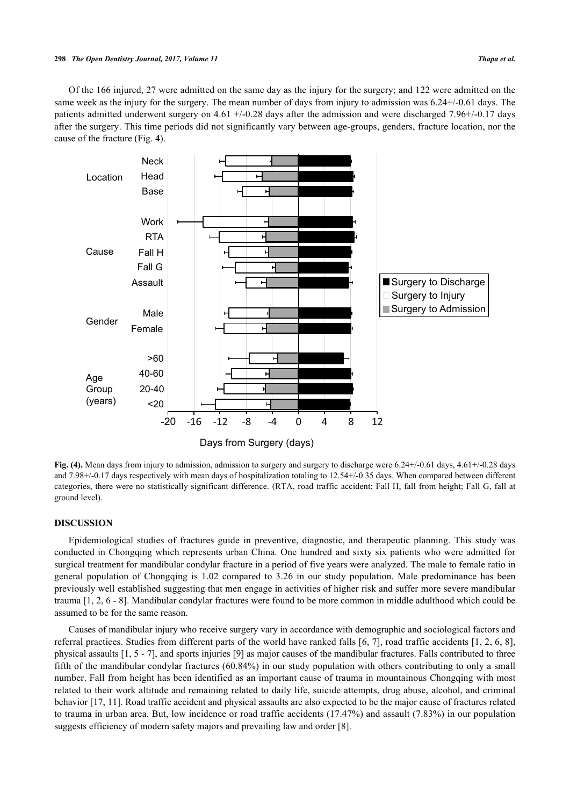Of the 166 injured, 27 were admitted on the same day as the injury for the surgery; and 122 were admitted on the same week as the injury for the surgery. The mean number of days from injury to admission was 6.24+/-0.61 days. The patients admitted underwent surgery on 4.61 +/-0.28 days after the admission and were discharged 7.96+/-0.17 days after the surgery. This time periods did not significantly vary between age-groups, genders, fracture location, nor the cause of the fracture (Fig. **[4](#page-4-0)**).

<span id="page-4-0"></span>

**Fig. (4).** Mean days from injury to admission, admission to surgery and surgery to discharge were 6.24+/-0.61 days, 4.61+/-0.28 days and 7.98+/-0.17 days respectively with mean days of hospitalization totaling to 12.54+/-0.35 days. When compared between different categories, there were no statistically significant difference. (RTA, road traffic accident; Fall H, fall from height; Fall G, fall at ground level).

#### **DISCUSSION**

Epidemiological studies of fractures guide in preventive, diagnostic, and therapeutic planning. This study was conducted in Chongqing which represents urban China. One hundred and sixty six patients who were admitted for surgical treatment for mandibular condylar fracture in a period of five years were analyzed. The male to female ratio in general population of Chongqing is 1.02 compared to 3.26 in our study population. Male predominance has been previously well established suggesting that men engage in activities of higher risk and suffer more severe mandibular trauma [\[1](#page-5-0), [2,](#page-5-2) [6](#page-5-4) - [8](#page-6-1)]. Mandibular condylar fractures were found to be more common in middle adulthood which could be assumed to be for the same reason.

Causes of mandibular injury who receive surgery vary in accordance with demographic and sociological factors and referral practices. Studies from different parts of the world have ranked falls [\[6](#page-5-4), [7\]](#page-6-0), road traffic accidents [[1](#page-5-0), [2,](#page-5-2) [6](#page-5-4), [8\]](#page-6-1), physical assaults [[1,](#page-5-0) [5](#page-5-3) - [7\]](#page-6-0), and sports injuries [[9\]](#page-6-2) as major causes of the mandibular fractures. Falls contributed to three fifth of the mandibular condylar fractures (60.84%) in our study population with others contributing to only a small number. Fall from height has been identified as an important cause of trauma in mountainous Chongqing with most related to their work altitude and remaining related to daily life, suicide attempts, drug abuse, alcohol, and criminal behavior [[17,](#page-6-9) [11\]](#page-6-4). Road traffic accident and physical assaults are also expected to be the major cause of fractures related to trauma in urban area. But, low incidence or road traffic accidents (17.47%) and assault (7.83%) in our population suggests efficiency of modern safety majors and prevailing law and order [\[8](#page-6-1)].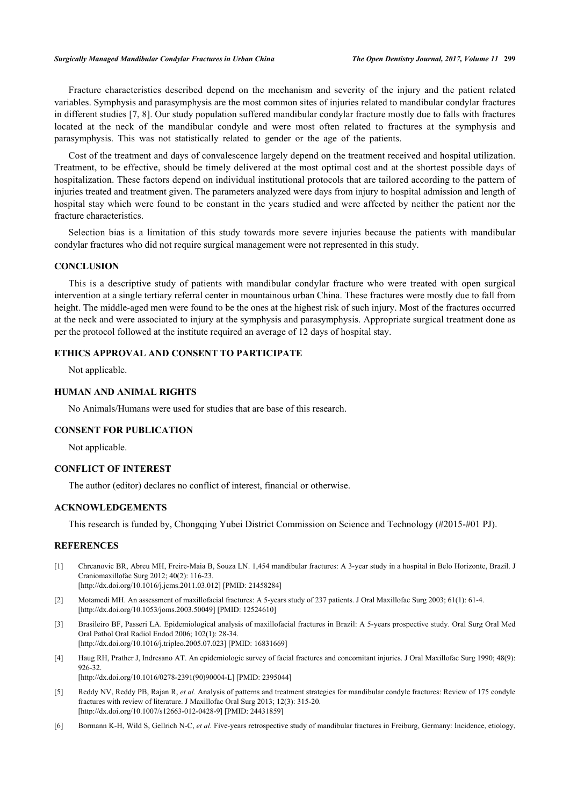Fracture characteristics described depend on the mechanism and severity of the injury and the patient related variables. Symphysis and parasymphysis are the most common sites of injuries related to mandibular condylar fractures in different studies [\[7](#page-6-0), [8](#page-6-1)]. Our study population suffered mandibular condylar fracture mostly due to falls with fractures located at the neck of the mandibular condyle and were most often related to fractures at the symphysis and parasymphysis. This was not statistically related to gender or the age of the patients.

Cost of the treatment and days of convalescence largely depend on the treatment received and hospital utilization. Treatment, to be effective, should be timely delivered at the most optimal cost and at the shortest possible days of hospitalization. These factors depend on individual institutional protocols that are tailored according to the pattern of injuries treated and treatment given. The parameters analyzed were days from injury to hospital admission and length of hospital stay which were found to be constant in the years studied and were affected by neither the patient nor the fracture characteristics.

Selection bias is a limitation of this study towards more severe injuries because the patients with mandibular condylar fractures who did not require surgical management were not represented in this study.

# **CONCLUSION**

This is a descriptive study of patients with mandibular condylar fracture who were treated with open surgical intervention at a single tertiary referral center in mountainous urban China. These fractures were mostly due to fall from height. The middle-aged men were found to be the ones at the highest risk of such injury. Most of the fractures occurred at the neck and were associated to injury at the symphysis and parasymphysis. Appropriate surgical treatment done as per the protocol followed at the institute required an average of 12 days of hospital stay.

# **ETHICS APPROVAL AND CONSENT TO PARTICIPATE**

Not applicable.

# **HUMAN AND ANIMAL RIGHTS**

No Animals/Humans were used for studies that are base of this research.

## **CONSENT FOR PUBLICATION**

Not applicable.

# **CONFLICT OF INTEREST**

The author (editor) declares no conflict of interest, financial or otherwise.

## **ACKNOWLEDGEMENTS**

This research is funded by, Chongqing Yubei District Commission on Science and Technology (#2015-#01 PJ).

# **REFERENCES**

- <span id="page-5-0"></span>[1] Chrcanovic BR, Abreu MH, Freire-Maia B, Souza LN. 1,454 mandibular fractures: A 3-year study in a hospital in Belo Horizonte, Brazil. J Craniomaxillofac Surg 2012; 40(2): 116-23. [\[http://dx.doi.org/10.1016/j.jcms.2011.03.012](http://dx.doi.org/10.1016/j.jcms.2011.03.012)] [PMID: [21458284\]](http://www.ncbi.nlm.nih.gov/pubmed/21458284)
- <span id="page-5-2"></span>[2] Motamedi MH. An assessment of maxillofacial fractures: A 5-years study of 237 patients. J Oral Maxillofac Surg 2003; 61(1): 61-4. [\[http://dx.doi.org/10.1053/joms.2003.50049](http://dx.doi.org/10.1053/joms.2003.50049)] [PMID: [12524610\]](http://www.ncbi.nlm.nih.gov/pubmed/12524610)
- [3] Brasileiro BF, Passeri LA. Epidemiological analysis of maxillofacial fractures in Brazil: A 5-years prospective study. Oral Surg Oral Med Oral Pathol Oral Radiol Endod 2006; 102(1): 28-34. [\[http://dx.doi.org/10.1016/j.tripleo.2005.07.023\]](http://dx.doi.org/10.1016/j.tripleo.2005.07.023) [PMID: [16831669](http://www.ncbi.nlm.nih.gov/pubmed/16831669)]
- <span id="page-5-1"></span>[4] Haug RH, Prather J, Indresano AT. An epidemiologic survey of facial fractures and concomitant injuries. J Oral Maxillofac Surg 1990; 48(9): 926-32. [\[http://dx.doi.org/10.1016/0278-2391\(90\)90004-L](http://dx.doi.org/10.1016/0278-2391(90)90004-L)] [PMID: [2395044\]](http://www.ncbi.nlm.nih.gov/pubmed/2395044)
- <span id="page-5-3"></span>[5] Reddy NV, Reddy PB, Rajan R, *et al.* Analysis of patterns and treatment strategies for mandibular condyle fractures: Review of 175 condyle fractures with review of literature. J Maxillofac Oral Surg 2013; 12(3): 315-20. [\[http://dx.doi.org/10.1007/s12663-012-0428-9\]](http://dx.doi.org/10.1007/s12663-012-0428-9) [PMID: [24431859](http://www.ncbi.nlm.nih.gov/pubmed/24431859)]
- <span id="page-5-4"></span>[6] Bormann K-H, Wild S, Gellrich N-C, *et al.* Five-years retrospective study of mandibular fractures in Freiburg, Germany: Incidence, etiology,